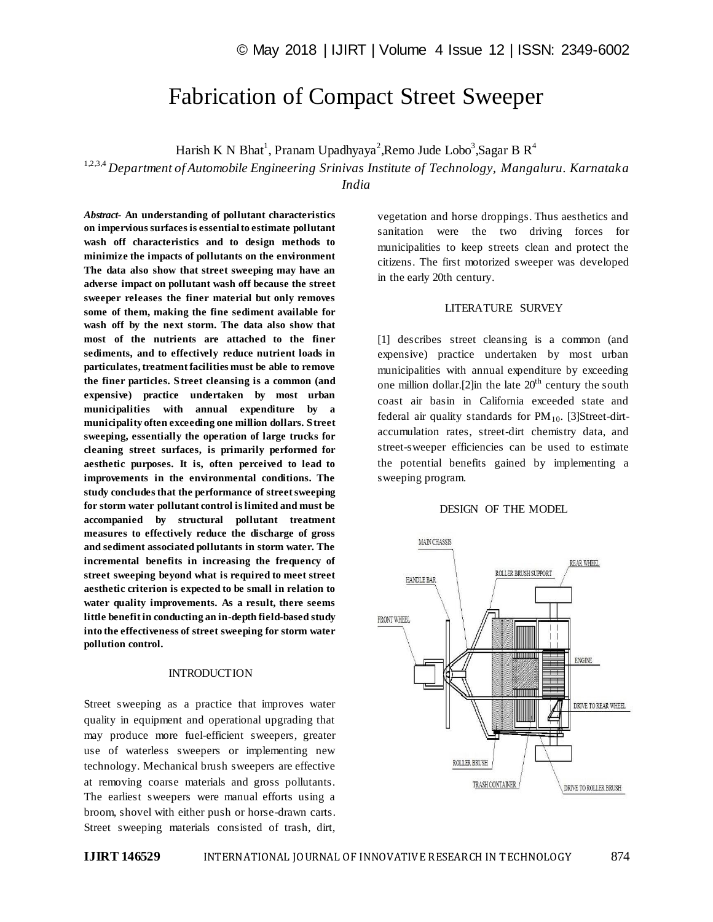# Fabrication of Compact Street Sweeper

Harish K N Bhat<sup>1</sup>, Pranam Upadhyaya<sup>2</sup>, Remo Jude Lobo<sup>3</sup>, Sagar B R<sup>4</sup>

1,2,3,4 *Department of Automobile Engineering Srinivas Institute of Technology, Mangaluru. Karnataka* 

*India*

*Abstract*- **An understanding of pollutant characteristics on impervious surfaces is essential to estimate pollutant wash off characteristics and to design methods to minimize the impacts of pollutants on the environment The data also show that street sweeping may have an adverse impact on pollutant wash off because the street sweeper releases the finer material but only removes some of them, making the fine sediment available for wash off by the next storm. The data also show that most of the nutrients are attached to the finer sediments, and to effectively reduce nutrient loads in particulates, treatment facilities must be able to remove the finer particles. Street cleansing is a common (and expensive) practice undertaken by most urban municipalities with annual expenditure by a municipality often exceeding one million dollars. Street sweeping, essentially the operation of large trucks for cleaning street surfaces, is primarily performed for aesthetic purposes. It is, often perceived to lead to improvements in the environmental conditions. The study concludes that the performance of street sweeping for storm water pollutant control is limited and must be accompanied by structural pollutant treatment measures to effectively reduce the discharge of gross and sediment associated pollutants in storm water. The incremental benefits in increasing the frequency of street sweeping beyond what is required to meet street aesthetic criterion is expected to be small in relation to water quality improvements. As a result, there seems little benefit in conducting an in-depth field-based study into the effectiveness of street sweeping for storm water pollution control.**

## **INTRODUCTION**

Street sweeping as a practice that improves water quality in equipment and operational upgrading that may produce more fuel-efficient sweepers, greater use of waterless sweepers or implementing new technology. Mechanical brush sweepers are effective at removing coarse materials and gross pollutants. The earliest sweepers were manual efforts using a broom, shovel with either push or horse-drawn carts. Street sweeping materials consisted of trash, dirt, vegetation and horse droppings. Thus aesthetics and sanitation were the two driving forces for municipalities to keep streets clean and protect the citizens. The first motorized sweeper was developed in the early 20th century.

## LITERATURE SURVEY

[1] describes street cleansing is a common (and expensive) practice undertaken by most urban municipalities with annual expenditure by exceeding one million dollar.<sup>[2]</sup>in the late  $20<sup>th</sup>$  century the south coast air basin in California exceeded state and federal air quality standards for  $PM_{10}$ . [3]Street-dirtaccumulation rates, street-dirt chemistry data, and street-sweeper efficiencies can be used to estimate the potential benefits gained by implementing a sweeping program.

### DESIGN OF THE MODEL

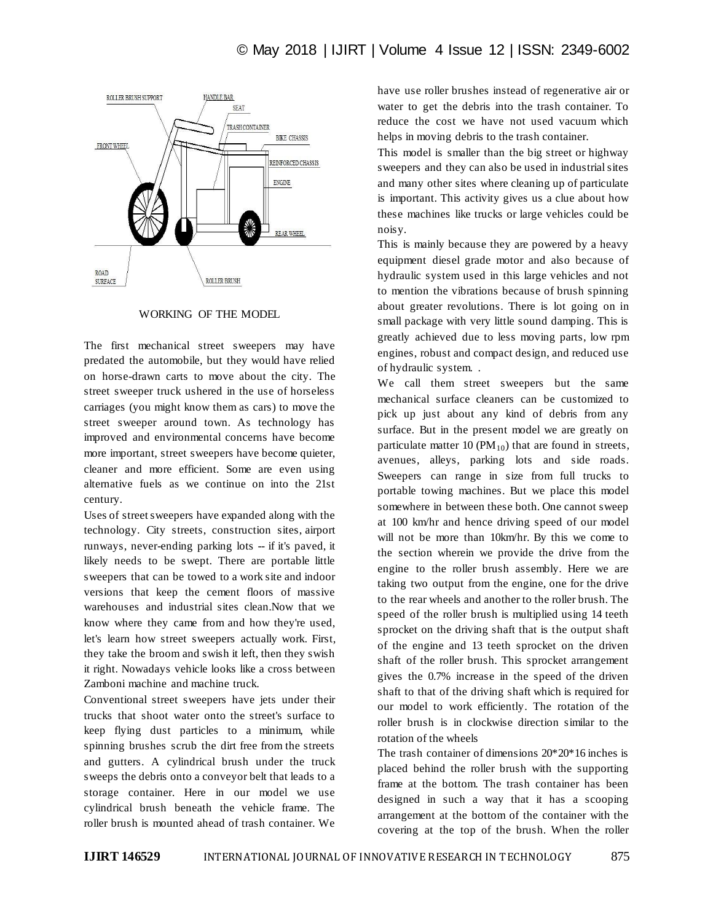

WORKING OF THE MODEL

The first mechanical street sweepers may have predated the automobile, but they would have relied on horse-drawn carts to move about the city. The street sweeper truck ushered in the use of horseless carriages (you might know them as cars) to move the street sweeper around town. As technology has improved and environmental concerns have become more important, street sweepers have become quieter, cleaner and more efficient. Some are even using alternative fuels as we continue on into the 21st century.

Uses of street sweepers have expanded along with the technology. City streets, construction sites, airport runways, never-ending parking lots -- if it's paved, it likely needs to be swept. There are portable little sweepers that can be towed to a work site and indoor versions that keep the cement floors of massive warehouses and industrial sites clean.Now that we know where they came from and how they're used, let's learn how street sweepers actually work. First, they take the broom and swish it left, then they swish it right. Nowadays vehicle looks like a cross between Zamboni machine and machine truck.

Conventional street sweepers have jets under their trucks that shoot water onto the street's surface to keep flying dust particles to a minimum, while spinning brushes scrub the dirt free from the streets and gutters. A cylindrical brush under the truck sweeps the debris onto a conveyor belt that leads to a storage container. Here in our model we use cylindrical brush beneath the vehicle frame. The roller brush is mounted ahead of trash container. We have use roller brushes instead of regenerative air or water to get the debris into the trash container. To reduce the cost we have not used vacuum which helps in moving debris to the trash container.

This model is smaller than the big street or highway sweepers and they can also be used in industrial sites and many other sites where cleaning up of particulate is important. This activity gives us a clue about how these machines like trucks or large vehicles could be noisy.

This is mainly because they are powered by a heavy equipment diesel grade motor and also because of hydraulic system used in this large vehicles and not to mention the vibrations because of brush spinning about greater revolutions. There is lot going on in small package with very little sound damping. This is greatly achieved due to less moving parts, low rpm engines, robust and compact design, and reduced use of hydraulic system. .

We call them street sweepers but the same mechanical surface cleaners can be customized to pick up just about any kind of debris from any surface. But in the present model we are greatly on particulate matter 10 ( $PM_{10}$ ) that are found in streets, avenues, alleys, parking lots and side roads. Sweepers can range in size from full trucks to portable towing machines. But we place this model somewhere in between these both. One cannot sweep at 100 km/hr and hence driving speed of our model will not be more than 10km/hr. By this we come to the section wherein we provide the drive from the engine to the roller brush assembly. Here we are taking two output from the engine, one for the drive to the rear wheels and another to the roller brush. The speed of the roller brush is multiplied using 14 teeth sprocket on the driving shaft that is the output shaft of the engine and 13 teeth sprocket on the driven shaft of the roller brush. This sprocket arrangement gives the 0.7% increase in the speed of the driven shaft to that of the driving shaft which is required for our model to work efficiently. The rotation of the roller brush is in clockwise direction similar to the rotation of the wheels

The trash container of dimensions 20\*20\*16 inches is placed behind the roller brush with the supporting frame at the bottom. The trash container has been designed in such a way that it has a scooping arrangement at the bottom of the container with the covering at the top of the brush. When the roller